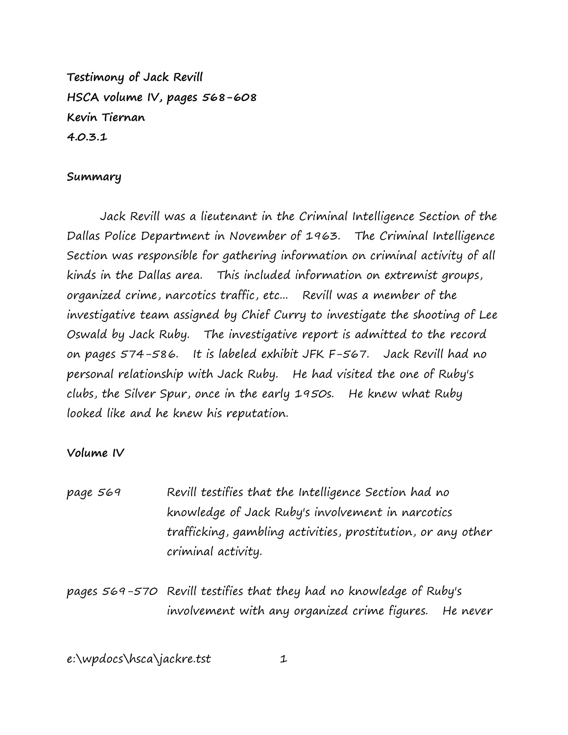**Testimony of Jack Revill HSCA volume IV, pages 568-608 Kevin Tiernan 4.0.3.1**

## **Summary**

Jack Revill was a lieutenant in the Criminal Intelligence Section of the Dallas Police Department in November of 1963. The Criminal Intelligence Section was responsible for gathering information on criminal activity of all kinds in the Dallas area. This included information on extremist groups, organized crime, narcotics traffic, etc... Revill was a member of the investigative team assigned by Chief Curry to investigate the shooting of Lee Oswald by Jack Ruby. The investigative report is admitted to the record on pages 574-586. It is labeled exhibit JFK F-567. Jack Revill had no personal relationship with Jack Ruby. He had visited the one of Ruby's clubs, the Silver Spur, once in the early 1950s. He knew what Ruby looked like and he knew his reputation.

## **Volume IV**

page 569 Revill testifies that the Intelligence Section had no knowledge of Jack Ruby's involvement in narcotics trafficking, gambling activities, prostitution, or any other criminal activity.

pages 569-570 Revill testifies that they had no knowledge of Ruby's involvement with any organized crime figures. He never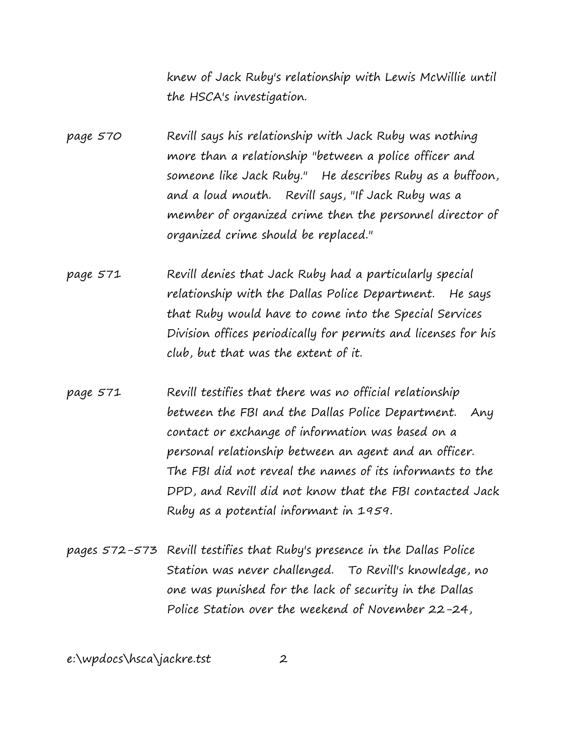knew of Jack Ruby's relationship with Lewis McWillie until the HSCA's investigation.

page 570 Revill says his relationship with Jack Ruby was nothing more than a relationship "between a police officer and someone like Jack Ruby." He describes Ruby as a buffoon, and a loud mouth. Revill says, "If Jack Ruby was a member of organized crime then the personnel director of organized crime should be replaced."

- page 571 Revill denies that Jack Ruby had a particularly special relationship with the Dallas Police Department. He says that Ruby would have to come into the Special Services Division offices periodically for permits and licenses for his club, but that was the extent of it.
- page 571 Revill testifies that there was no official relationship between the FBI and the Dallas Police Department. Any contact or exchange of information was based on a personal relationship between an agent and an officer. The FBI did not reveal the names of its informants to the DPD, and Revill did not know that the FBI contacted Jack Ruby as a potential informant in 1959.
- pages 572-573 Revill testifies that Ruby's presence in the Dallas Police Station was never challenged. To Revill's knowledge, no one was punished for the lack of security in the Dallas Police Station over the weekend of November 22-24,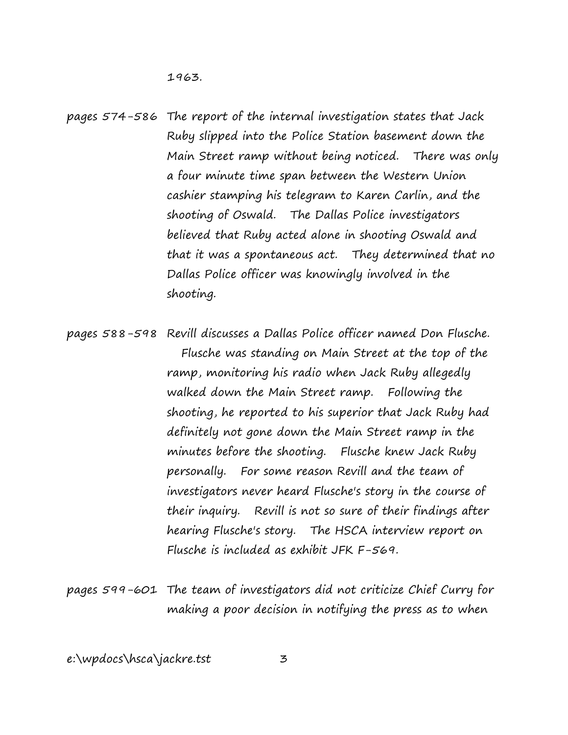1963.

pages 574-586 The report of the internal investigation states that Jack Ruby slipped into the Police Station basement down the Main Street ramp without being noticed. There was only a four minute time span between the Western Union cashier stamping his telegram to Karen Carlin, and the shooting of Oswald. The Dallas Police investigators believed that Ruby acted alone in shooting Oswald and that it was a spontaneous act. They determined that no Dallas Police officer was knowingly involved in the shooting.

pages 588-598 Revill discusses a Dallas Police officer named Don Flusche. Flusche was standing on Main Street at the top of the ramp, monitoring his radio when Jack Ruby allegedly walked down the Main Street ramp. Following the shooting, he reported to his superior that Jack Ruby had definitely not gone down the Main Street ramp in the minutes before the shooting. Flusche knew Jack Ruby personally. For some reason Revill and the team of investigators never heard Flusche's story in the course of their inquiry. Revill is not so sure of their findings after hearing Flusche's story. The HSCA interview report on Flusche is included as exhibit JFK F-569.

pages 599-601 The team of investigators did not criticize Chief Curry for making a poor decision in notifying the press as to when